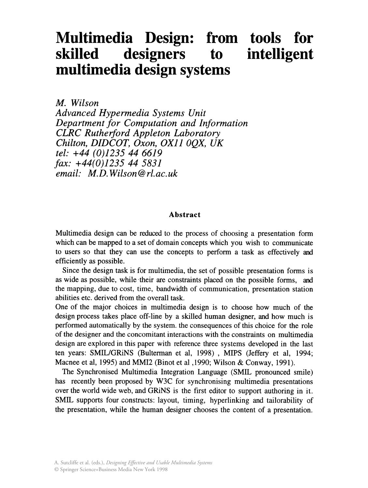## **Multimedia Design: from tools for skilled designers to multimedia design systems intelligent**

*M. Wilson Advanced Hypermedia Systems Unit Department for Computation and Information CLRC Rutherford Appleton Laboratory Chilton, DIDCOT, Oxon, OX11 0QX, UK tel:* +44 *(0)1235* 44 6619 *fax: +44(0)1235* 44 5831 *email: M.D.Wilson@rl.ac. uk* 

## Abstract

Multimedia design can be reduced to the process of choosing a presentation fonn which can be mapped to a set of domain concepts which you wish to communicate to users so that they can use the concepts to perfonn a task as effectively and efficiently as possible.

Since the design task is for multimedia, the set of possible presentation forms is as wide as possible, while their are constraints placed on the possible forms, and the mapping, due to cost, time, bandwidth of communication, presentation station abilities etc. derived from the overall task.

One of the major choices in multimedia design is to choose how much of the design process takes place off-line by a skilled human designer, and how much is perfonned automatically by the system. the consequences of this choice for the role of the designer and the concomitant interactions with the constraints on multimedia design are explored in this paper with reference three systems developed in the last ten years: SMIL/GRiNS (Bulterman et al, 1998), MIPS (Jeffery et al, 1994; Macnee et aI, 1995) and MMI2 (Binot et al ,1990; Wilson & Conway, 1991).

The Synchronised Multimedia Integration Language (SMIL pronounced smile) has recently been proposed by W3C for synchronising multimedia presentations over the world wide web, and GRiNS is the first editor to support authoring in it. SMIL supports four constructs: layout, timing, hyperlinking and tailorability of the presentation, while the human designer chooses the content of a presentation.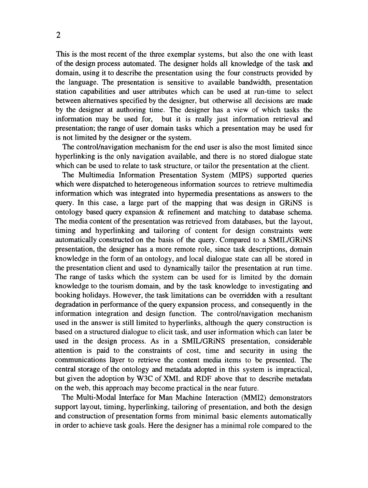This is the most recent of the three exemplar systems, but also the one with least of the design process automated. The designer holds all knowledge of the task and domain, using it to describe the presentation using the four constructs provided by the language. The presentation is sensitive to available bandwidth, presentation station capabilities and user attributes which can be used at run-time to select between alternatives specified by the designer, but otherwise all decisions are made by the designer at authoring time. The designer has a view of which tasks the information may be used for, but it is really just information retrieval and presentation; the range of user domain tasks which a presentation may be used for is not limited by the designer or the system.

The control/navigation mechanism for the end user is also the most limited since hyperlinking is the only navigation available, and there is no stored dialogue state which can be used to relate to task structure, or tailor the presentation at the client.

The Multimedia Information Presentation System (MIPS) supported queries which were dispatched to heterogeneous information sources to retrieve multimedia information which was integrated into hypermedia presentations as answers to the query. In this case, a large part of the mapping that was design in GRiNS is ontology based query expansion & refinement and matching to database schema. The media content of the presentation was retrieved from databases, but the layout, timing and hyperlinking and tailoring of content for design constraints were automatically constructed on the basis of the query. Compared to a SMIL/GRiNS presentation, the designer has a more remote role, since task descriptions, domain knowledge in the form of an ontology, and local dialogue state can all be stored in the presentation client and used to dynamically tailor the presentation at run time. The range of tasks which the system can be used for is limited by the domain knowledge to the tourism domain, and by the task knowledge to investigating and booking holidays. However, the task limitations can be overridden with a resultant degradation in performance of the query expansion process, and consequently in the information integration and design function. The control/navigation mechanism used in the answer is still limited to hyperlinks, although the query construction is based on a structured dialogue to elicit task, and user information which can later be used in the design process. As in a SMIL/GRiNS presentation, considerable attention is paid to the constraints of cost, time and security in using the communications layer to retrieve the content media items to be presented. The central storage of the ontology and metadata adopted in this system is impractical, but given the adoption by W3C of XML and RDF above that to describe metadata on the web, this approach may become practical in the near future.

The Multi-Modal Interface for Man Machine Interaction (MMI2) demonstrators support layout, timing, hyperlinking, tailoring of presentation, and both the design and construction of presentation forms from minimal basic elements automatically in order to achieve task goals. Here the designer has a minimal role compared to the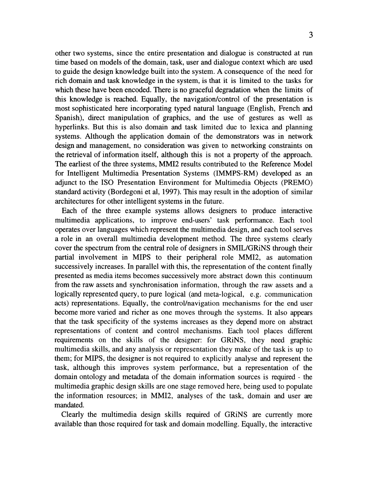other two systems, since the entire presentation and dialogue is constructed at run time based on models of the domain, task, user and dialogue context which are used to guide the design knowledge built into the system. A consequence of the need for rich domain and task knowledge in the system, is that it is limited to the tasks for which these have been encoded. There is no graceful degradation when the limits of this knowledge is reached. Equally, the navigation/control of the presentation is most sophisticated here incorporating typed natural language (English, French and Spanish), direct manipulation of graphics, and the use of gestures as well as hyperlinks. But this is also domain and task limited due to lexica and planning systems. Although the application domain of the demonstrators was in network design and management, no consideration was given to networking constraints on the retrieval of information itself, although this is not a property of the approach. The earliest of the three systems, MMI2 results contributed to the Reference Model for Intelligent Multimedia Presentation Systems (IMMPS-RM) developed as an adjunct to the ISO Presentation Environment for Multimedia Objects (PREMO) standard activity (Bordegoni et aI, 1997). This may result in the adoption of similar architectures for other intelligent systems in the future.

Each of the three example systems allows designers to produce interactive multimedia applications, to improve end-users' task performance. Each tool operates over languages which represent the multimedia design, and each tool serves a role in an overall multimedia development method. The three systems clearly cover the spectrum from the central role of designers in SMIL/GRiNS through their partial involvement in MIPS to their peripheral role MMI2, as automation successively increases. In parallel with this, the representation of the content finally presented as media items becomes successively more abstract down this continuum from the raw assets and synchronisation information, through the raw assets and a logically represented query, to pure logical (and meta-logical, e.g. communication acts) representations. Equally, the control/navigation mechanisms for the end user become more varied and richer as one moves through the systems. It also appears that the task specificity of the systems increases as they depend more on abstract representations of content and control mechanisms. Each tool places different requirements on the skills of the designer: for GRiNS, they need graphic multimedia skills, and any analysis or representation they make of the task is up to them; for MIPS, the designer is not required to explicitly analyse and represent the task, although this improves system performance, but a representation of the domain ontology and metadata of the domain information sources is required - the multimedia graphic design skills are one stage removed here, being used to populate the information resources; in MMI2, analyses of the task, domain and user are mandated.

Clearly the multimedia design skills required of GRiNS are currently more available than those required for task and domain modelling. Equally, the interactive